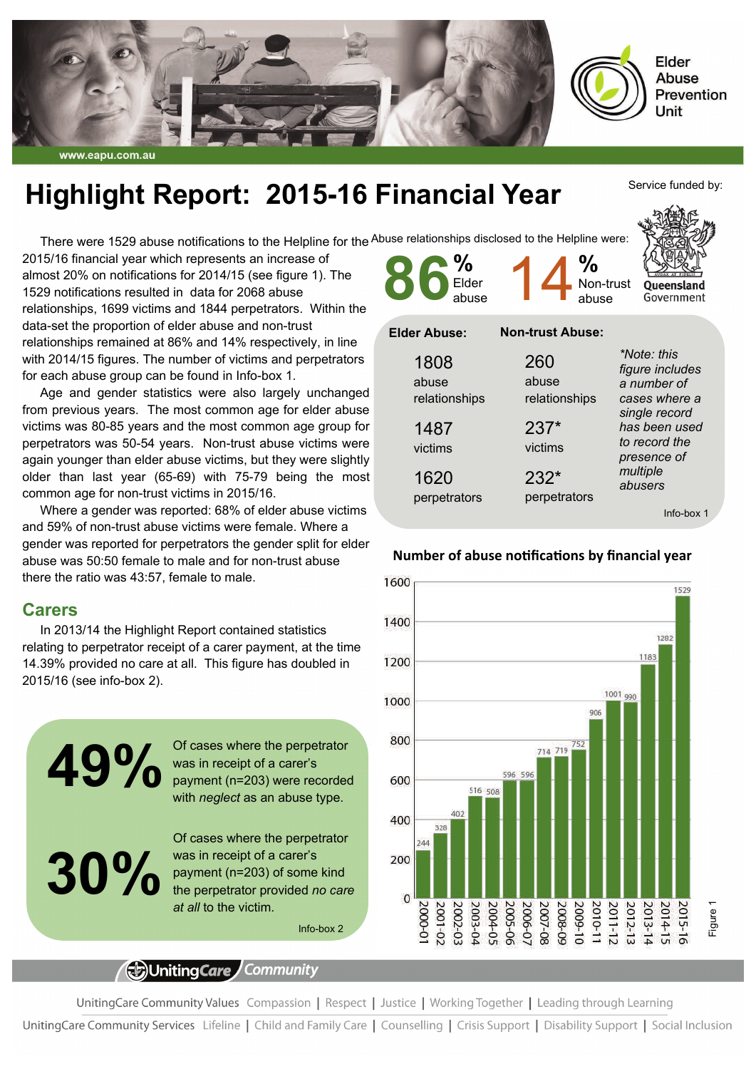

#### www.eapu.com.au

# **Highlight Report: 2015-16 Financial Year**

There were 1529 abuse notifications to the Helpline for the <sup>Abuse</sup> relationships disclosed to the Helpline were:

2015/16 financial year which represents an increase of almost 20% on notifications for 2014/15 (see figure 1). The 1529 notifications resulted in data for 2068 abuse relationships, 1699 victims and 1844 perpetrators. Within the data-set the proportion of elder abuse and non-trust relationships remained at 86% and 14% respectively, in line with 2014/15 figures. The number of victims and perpetrators for each abuse group can be found in Info-box 1.

Age and gender statistics were also largely unchanged from previous years. The most common age for elder abuse victims was 80-85 years and the most common age group for perpetrators was 50-54 years. Non-trust abuse victims were again younger than elder abuse victims, but they were slightly older than last year (65-69) with 75-79 being the most common age for non-trust victims in 2015/16.

Where a gender was reported: 68% of elder abuse victims and 59% of non-trust abuse victims were female. Where a gender was reported for perpetrators the gender split for elder abuse was 50:50 female to male and for non-trust abuse there the ratio was 43:57, female to male.

### **Carers**

In 2013/14 the Highlight Report contained statistics relating to perpetrator receipt of a carer payment, at the time 14.39% provided no care at all. This figure has doubled in 2015/16 (see info-box 2).

> Of cases where the perpetrator was in receipt of a carer's payment (n=203) were recorded with *neglect* as an abuse type.

**30%** 

**49%** 

Of cases where the perpetrator was in receipt of a carer's payment (n=203) of some kind the perpetrator provided *no care* 

Info-box 2

# (E)UnitingCare Community

*at all* to the victim.

UnitingCare Community Values Compassion | Respect | Justice | Working Together | Leading through Learning

UnitingCare Community Services Lifeline | Child and Family Care | Counselling | Crisis Support | Disability Support | Social Inclusion



| 1808<br>abuse<br>relationships | ZOU<br>abuse<br>relationships | figure includes<br>a number of<br>cases where a<br>single record<br>has been used<br>to record the<br>presence of<br>multiple<br>abusers |
|--------------------------------|-------------------------------|------------------------------------------------------------------------------------------------------------------------------------------|
| 1487<br>victims                | $237*$<br>victims             |                                                                                                                                          |
| 1620<br>perpetrators           | $232*$<br>perpetrators        |                                                                                                                                          |

**Number of abuse noƟficaƟons by financial year** 

Info-box 1



#### Service funded by:

Queensland Government